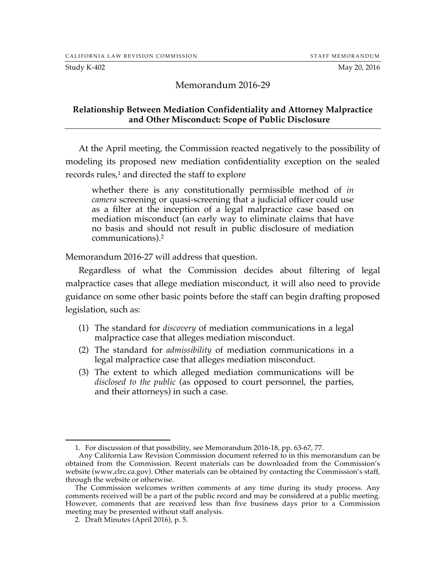### Memorandum 2016-29

#### **Relationship Between Mediation Confidentiality and Attorney Malpractice and Other Misconduct: Scope of Public Disclosure**

At the April meeting, the Commission reacted negatively to the possibility of modeling its proposed new mediation confidentiality exception on the sealed records rules,<sup>1</sup> and directed the staff to explore

whether there is any constitutionally permissible method of *in camera* screening or quasi-screening that a judicial officer could use as a filter at the inception of a legal malpractice case based on mediation misconduct (an early way to eliminate claims that have no basis and should not result in public disclosure of mediation communications).2

Memorandum 2016-27 will address that question.

Regardless of what the Commission decides about filtering of legal malpractice cases that allege mediation misconduct, it will also need to provide guidance on some other basic points before the staff can begin drafting proposed legislation, such as:

- (1) The standard for *discovery* of mediation communications in a legal malpractice case that alleges mediation misconduct.
- (2) The standard for *admissibility* of mediation communications in a legal malpractice case that alleges mediation misconduct.
- (3) The extent to which alleged mediation communications will be *disclosed to the public* (as opposed to court personnel, the parties, and their attorneys) in such a case.

 <sup>1.</sup> For discussion of that possibility, see Memorandum 2016-18, pp. 63-67, 77.

Any California Law Revision Commission document referred to in this memorandum can be obtained from the Commission. Recent materials can be downloaded from the Commission's website (www.clrc.ca.gov). Other materials can be obtained by contacting the Commission's staff, through the website or otherwise.

The Commission welcomes written comments at any time during its study process. Any comments received will be a part of the public record and may be considered at a public meeting. However, comments that are received less than five business days prior to a Commission meeting may be presented without staff analysis.

<sup>2.</sup> Draft Minutes (April 2016), p. 5.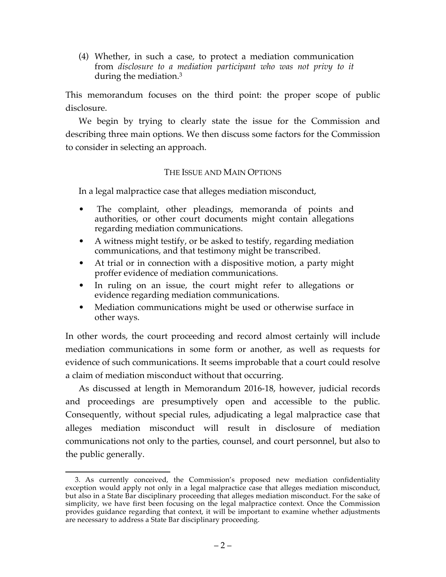(4) Whether, in such a case, to protect a mediation communication from *disclosure to a mediation participant who was not privy to it* during the mediation.3

This memorandum focuses on the third point: the proper scope of public disclosure.

We begin by trying to clearly state the issue for the Commission and describing three main options. We then discuss some factors for the Commission to consider in selecting an approach.

## THE ISSUE AND MAIN OPTIONS

In a legal malpractice case that alleges mediation misconduct,

- The complaint, other pleadings, memoranda of points and authorities, or other court documents might contain allegations regarding mediation communications.
- A witness might testify, or be asked to testify, regarding mediation communications, and that testimony might be transcribed.
- At trial or in connection with a dispositive motion, a party might proffer evidence of mediation communications.
- In ruling on an issue, the court might refer to allegations or evidence regarding mediation communications.
- Mediation communications might be used or otherwise surface in other ways.

In other words, the court proceeding and record almost certainly will include mediation communications in some form or another, as well as requests for evidence of such communications. It seems improbable that a court could resolve a claim of mediation misconduct without that occurring.

As discussed at length in Memorandum 2016-18, however, judicial records and proceedings are presumptively open and accessible to the public. Consequently, without special rules, adjudicating a legal malpractice case that alleges mediation misconduct will result in disclosure of mediation communications not only to the parties, counsel, and court personnel, but also to the public generally.

 <sup>3.</sup> As currently conceived, the Commission's proposed new mediation confidentiality exception would apply not only in a legal malpractice case that alleges mediation misconduct, but also in a State Bar disciplinary proceeding that alleges mediation misconduct. For the sake of simplicity, we have first been focusing on the legal malpractice context. Once the Commission provides guidance regarding that context, it will be important to examine whether adjustments are necessary to address a State Bar disciplinary proceeding.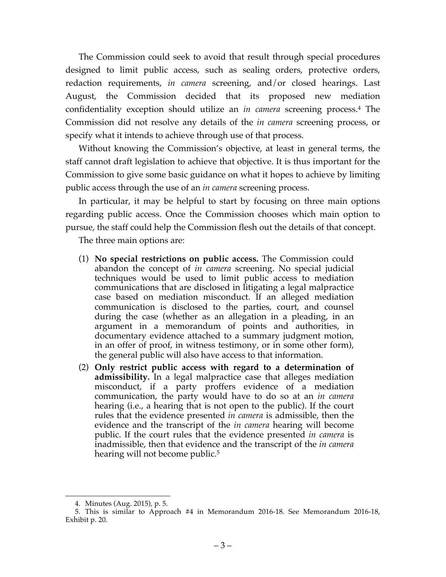The Commission could seek to avoid that result through special procedures designed to limit public access, such as sealing orders, protective orders, redaction requirements, *in camera* screening, and/or closed hearings. Last August, the Commission decided that its proposed new mediation confidentiality exception should utilize an *in camera* screening process.4 The Commission did not resolve any details of the *in camera* screening process, or specify what it intends to achieve through use of that process.

Without knowing the Commission's objective, at least in general terms, the staff cannot draft legislation to achieve that objective. It is thus important for the Commission to give some basic guidance on what it hopes to achieve by limiting public access through the use of an *in camera* screening process.

In particular, it may be helpful to start by focusing on three main options regarding public access. Once the Commission chooses which main option to pursue, the staff could help the Commission flesh out the details of that concept.

The three main options are:

- (1) **No special restrictions on public access.** The Commission could abandon the concept of *in camera* screening. No special judicial techniques would be used to limit public access to mediation communications that are disclosed in litigating a legal malpractice case based on mediation misconduct. If an alleged mediation communication is disclosed to the parties, court, and counsel during the case (whether as an allegation in a pleading, in an argument in a memorandum of points and authorities, in documentary evidence attached to a summary judgment motion, in an offer of proof, in witness testimony, or in some other form), the general public will also have access to that information.
- (2) **Only restrict public access with regard to a determination of admissibility.** In a legal malpractice case that alleges mediation misconduct, if a party proffers evidence of a mediation communication, the party would have to do so at an *in camera*  hearing (i.e., a hearing that is not open to the public). If the court rules that the evidence presented *in camera* is admissible, then the evidence and the transcript of the *in camera* hearing will become public. If the court rules that the evidence presented *in camera* is inadmissible, then that evidence and the transcript of the *in camera*  hearing will not become public.<sup>5</sup>

 <sup>4.</sup> Minutes (Aug. 2015), p. 5.

<sup>5.</sup> This is similar to Approach #4 in Memorandum 2016-18. See Memorandum 2016-18, Exhibit p. 20.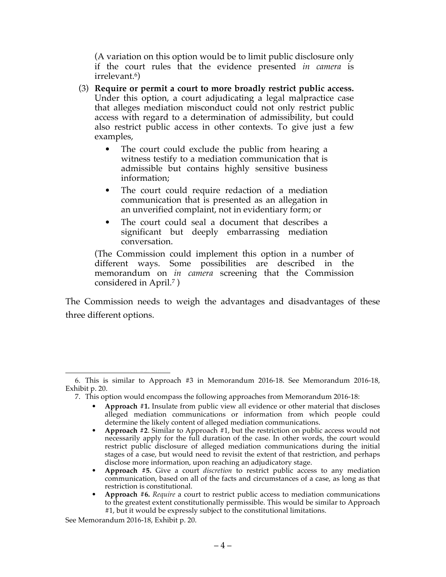(A variation on this option would be to limit public disclosure only if the court rules that the evidence presented *in camera* is irrelevant.6)

- (3) **Require or permit a court to more broadly restrict public access.** Under this option, a court adjudicating a legal malpractice case that alleges mediation misconduct could not only restrict public access with regard to a determination of admissibility, but could also restrict public access in other contexts. To give just a few examples,
	- The court could exclude the public from hearing a witness testify to a mediation communication that is admissible but contains highly sensitive business information;
	- The court could require redaction of a mediation communication that is presented as an allegation in an unverified complaint, not in evidentiary form; or
	- The court could seal a document that describes a significant but deeply embarrassing mediation conversation.

(The Commission could implement this option in a number of different ways. Some possibilities are described in the memorandum on *in camera* screening that the Commission considered in April.7 )

The Commission needs to weigh the advantages and disadvantages of these three different options.

- **Approach #1.** Insulate from public view all evidence or other material that discloses alleged mediation communications or information from which people could determine the likely content of alleged mediation communications.
- **Approach #2**. Similar to Approach #1, but the restriction on public access would not necessarily apply for the full duration of the case. In other words, the court would restrict public disclosure of alleged mediation communications during the initial stages of a case, but would need to revisit the extent of that restriction, and perhaps disclose more information, upon reaching an adjudicatory stage.
- **Approach #5.** Give a court *discretion* to restrict public access to any mediation communication, based on all of the facts and circumstances of a case, as long as that restriction is constitutional.
- **Approach #6.** *Require* a court to restrict public access to mediation communications to the greatest extent constitutionally permissible. This would be similar to Approach #1, but it would be expressly subject to the constitutional limitations.

 <sup>6.</sup> This is similar to Approach #3 in Memorandum 2016-18. See Memorandum 2016-18, Exhibit p. 20.

<sup>7.</sup> This option would encompass the following approaches from Memorandum 2016-18:

See Memorandum 2016-18, Exhibit p. 20.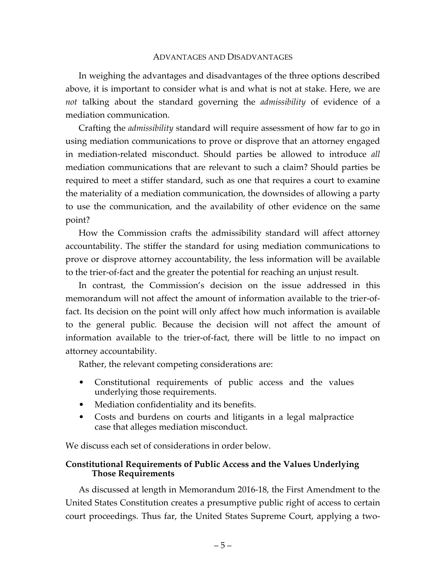#### ADVANTAGES AND DISADVANTAGES

In weighing the advantages and disadvantages of the three options described above, it is important to consider what is and what is not at stake. Here, we are *not* talking about the standard governing the *admissibility* of evidence of a mediation communication.

Crafting the *admissibility* standard will require assessment of how far to go in using mediation communications to prove or disprove that an attorney engaged in mediation-related misconduct. Should parties be allowed to introduce *all* mediation communications that are relevant to such a claim? Should parties be required to meet a stiffer standard, such as one that requires a court to examine the materiality of a mediation communication, the downsides of allowing a party to use the communication, and the availability of other evidence on the same point?

How the Commission crafts the admissibility standard will affect attorney accountability. The stiffer the standard for using mediation communications to prove or disprove attorney accountability, the less information will be available to the trier-of-fact and the greater the potential for reaching an unjust result.

In contrast, the Commission's decision on the issue addressed in this memorandum will not affect the amount of information available to the trier-offact. Its decision on the point will only affect how much information is available to the general public*.* Because the decision will not affect the amount of information available to the trier-of-fact, there will be little to no impact on attorney accountability.

Rather, the relevant competing considerations are:

- Constitutional requirements of public access and the values underlying those requirements.
- Mediation confidentiality and its benefits.
- Costs and burdens on courts and litigants in a legal malpractice case that alleges mediation misconduct.

We discuss each set of considerations in order below.

# **Constitutional Requirements of Public Access and the Values Underlying Those Requirements**

As discussed at length in Memorandum 2016-18, the First Amendment to the United States Constitution creates a presumptive public right of access to certain court proceedings. Thus far, the United States Supreme Court, applying a two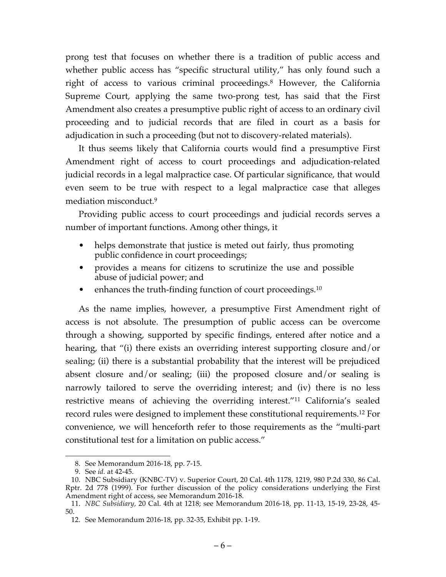prong test that focuses on whether there is a tradition of public access and whether public access has "specific structural utility," has only found such a right of access to various criminal proceedings.<sup>8</sup> However, the California Supreme Court, applying the same two-prong test, has said that the First Amendment also creates a presumptive public right of access to an ordinary civil proceeding and to judicial records that are filed in court as a basis for adjudication in such a proceeding (but not to discovery-related materials).

It thus seems likely that California courts would find a presumptive First Amendment right of access to court proceedings and adjudication-related judicial records in a legal malpractice case. Of particular significance, that would even seem to be true with respect to a legal malpractice case that alleges mediation misconduct.9

Providing public access to court proceedings and judicial records serves a number of important functions. Among other things, it

- helps demonstrate that justice is meted out fairly, thus promoting public confidence in court proceedings;
- provides a means for citizens to scrutinize the use and possible abuse of judicial power; and
- enhances the truth-finding function of court proceedings.<sup>10</sup>

As the name implies, however, a presumptive First Amendment right of access is not absolute. The presumption of public access can be overcome through a showing, supported by specific findings, entered after notice and a hearing, that "(i) there exists an overriding interest supporting closure and/or sealing; (ii) there is a substantial probability that the interest will be prejudiced absent closure and/or sealing; (iii) the proposed closure and/or sealing is narrowly tailored to serve the overriding interest; and (iv) there is no less restrictive means of achieving the overriding interest."11 California's sealed record rules were designed to implement these constitutional requirements.12 For convenience, we will henceforth refer to those requirements as the "multi-part constitutional test for a limitation on public access."

 <sup>8.</sup> See Memorandum 2016-18, pp. 7-15.

<sup>9.</sup> See *id.* at 42-45.

<sup>10.</sup> NBC Subsidiary (KNBC-TV) v. Superior Court, 20 Cal. 4th 1178, 1219, 980 P.2d 330, 86 Cal. Rptr. 2d 778 (1999). For further discussion of the policy considerations underlying the First Amendment right of access, see Memorandum 2016-18.

<sup>11.</sup> *NBC Subsidiary,* 20 Cal. 4th at 1218; see Memorandum 2016-18, pp. 11-13, 15-19, 23-28, 45- 50.

<sup>12.</sup> See Memorandum 2016-18, pp. 32-35, Exhibit pp. 1-19.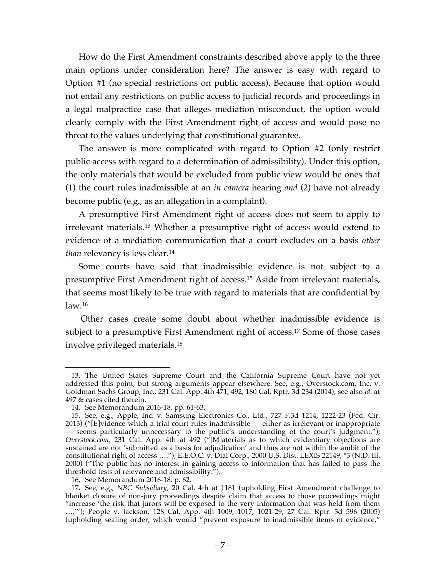How do the First Amendment constraints described above apply to the three main options under consideration here? The answer is easy with regard to Option #1 (no special restrictions on public access). Because that option would not entail any restrictions on public access to judicial records and proceedings in a legal malpractice case that alleges mediation misconduct, the option would clearly comply with the First Amendment right of access and would pose no threat to the values underlying that constitutional guarantee.

The answer is more complicated with regard to Option #2 (only restrict public access with regard to a determination of admissibility). Under this option, the only materials that would be excluded from public view would be ones that (1) the court rules inadmissible at an *in camera* hearing *and* (2) have not already become public (e.g., as an allegation in a complaint).

A presumptive First Amendment right of access does not seem to apply to irrelevant materials.13 Whether a presumptive right of access would extend to evidence of a mediation communication that a court excludes on a basis *other than* relevancy is less clear.<sup>14</sup>

Some courts have said that inadmissible evidence is not subject to a presumptive First Amendment right of access.15 Aside from irrelevant materials, that seems most likely to be true with regard to materials that are confidential by  $law<sub>.16</sub>$ 

Other cases create some doubt about whether inadmissible evidence is subject to a presumptive First Amendment right of access. <sup>17</sup> Some of those cases involve privileged materials.18

 <sup>13.</sup> The United States Supreme Court and the California Supreme Court have not yet addressed this point, but strong arguments appear elsewhere. See, e.g., Overstock.com, Inc. v. Goldman Sachs Group, Inc., 231 Cal. App. 4th 471, 492, 180 Cal. Rptr. 3d 234 (2014); see also *id.* at 497  $&$  cases cited therein.

<sup>14.</sup> See Memorandum 2016-18, pp. 61-63.

<sup>15.</sup> See, e.g., Apple, Inc. v. Samsung Electronics Co., Ltd., 727 F.3d 1214, 1222-23 (Fed. Cir. 2013) ("[E]vidence which a trial court rules inadmissible — either as irrelevant or inappropriate — seems particularly unnecessary to the public's understanding of the court's judgment."); *Overstock.com,* 231 Cal. App. 4th at 492 ("[M]aterials as to which evidentiary objections are sustained are not 'submitted as a basis for adjudication' and thus are not within the ambit of the constitutional right of access …."); E.E.O.C. v. Dial Corp., 2000 U.S. Dist. LEXIS 22149, \*3 (N.D. Ill. 2000) ("The public has no interest in gaining access to information that has failed to pass the threshold tests of relevance and admissibility.").

<sup>16.</sup> See Memorandum 2016-18, p. 62.

<sup>17.</sup> See, e.g., *NBC Subsidiary,* 20 Cal. 4th at 1181 (upholding First Amendment challenge to blanket closure of non-jury proceedings despite claim that access to those proceedings might "increase 'the risk that jurors will be exposed to the very information that was held from them ….'"); People v. Jackson, 128 Cal. App. 4th 1009, 1017, 1021-29, 27 Cal. Rptr. 3d 596 (2005) (upholding sealing order, which would "prevent exposure to inadmissible items of evidence,"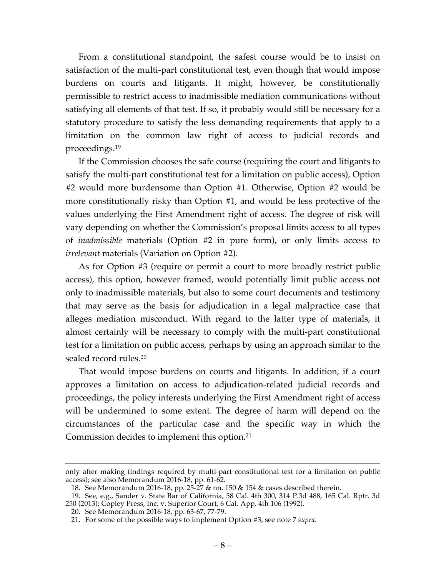From a constitutional standpoint, the safest course would be to insist on satisfaction of the multi-part constitutional test, even though that would impose burdens on courts and litigants. It might, however, be constitutionally permissible to restrict access to inadmissible mediation communications without satisfying all elements of that test. If so, it probably would still be necessary for a statutory procedure to satisfy the less demanding requirements that apply to a limitation on the common law right of access to judicial records and proceedings.19

If the Commission chooses the safe course (requiring the court and litigants to satisfy the multi-part constitutional test for a limitation on public access), Option #2 would more burdensome than Option #1. Otherwise, Option #2 would be more constitutionally risky than Option #1, and would be less protective of the values underlying the First Amendment right of access. The degree of risk will vary depending on whether the Commission's proposal limits access to all types of *inadmissible* materials (Option #2 in pure form), or only limits access to *irrelevant* materials (Variation on Option #2).

As for Option #3 (require or permit a court to more broadly restrict public access), this option, however framed, would potentially limit public access not only to inadmissible materials, but also to some court documents and testimony that may serve as the basis for adjudication in a legal malpractice case that alleges mediation misconduct. With regard to the latter type of materials, it almost certainly will be necessary to comply with the multi-part constitutional test for a limitation on public access, perhaps by using an approach similar to the sealed record rules.20

That would impose burdens on courts and litigants. In addition, if a court approves a limitation on access to adjudication-related judicial records and proceedings, the policy interests underlying the First Amendment right of access will be undermined to some extent. The degree of harm will depend on the circumstances of the particular case and the specific way in which the Commission decides to implement this option.21

only after making findings required by multi-part constitutional test for a limitation on public access); see also Memorandum 2016-18, pp. 61-62.

<sup>18.</sup> See Memorandum 2016-18, pp. 25-27 & nn. 150 & 154 & cases described therein.

<sup>19.</sup> See, e.g., Sander v. State Bar of California, 58 Cal. 4th 300, 314 P.3d 488, 165 Cal. Rptr. 3d 250 (2013); Copley Press, Inc. v. Superior Court, 6 Cal. App. 4th 106 (1992).

<sup>20.</sup> See Memorandum 2016-18, pp. 63-67, 77-79.

<sup>21.</sup> For some of the possible ways to implement Option #3, see note 7 *supra*.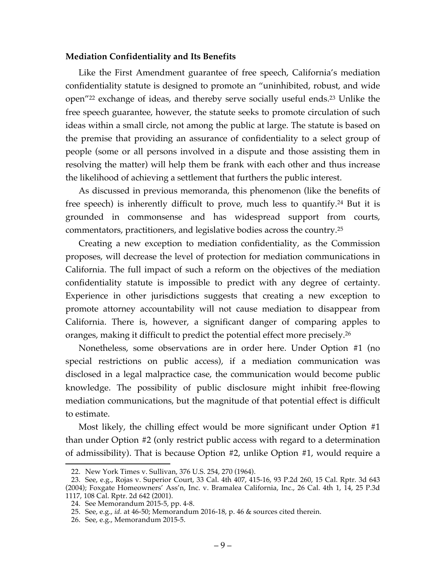#### **Mediation Confidentiality and Its Benefits**

Like the First Amendment guarantee of free speech, California's mediation confidentiality statute is designed to promote an "uninhibited, robust, and wide open"22 exchange of ideas, and thereby serve socially useful ends.23 Unlike the free speech guarantee, however, the statute seeks to promote circulation of such ideas within a small circle, not among the public at large. The statute is based on the premise that providing an assurance of confidentiality to a select group of people (some or all persons involved in a dispute and those assisting them in resolving the matter) will help them be frank with each other and thus increase the likelihood of achieving a settlement that furthers the public interest.

As discussed in previous memoranda, this phenomenon (like the benefits of free speech) is inherently difficult to prove, much less to quantify.24 But it is grounded in commonsense and has widespread support from courts, commentators, practitioners, and legislative bodies across the country.25

Creating a new exception to mediation confidentiality, as the Commission proposes, will decrease the level of protection for mediation communications in California. The full impact of such a reform on the objectives of the mediation confidentiality statute is impossible to predict with any degree of certainty. Experience in other jurisdictions suggests that creating a new exception to promote attorney accountability will not cause mediation to disappear from California. There is, however, a significant danger of comparing apples to oranges, making it difficult to predict the potential effect more precisely.<sup>26</sup>

Nonetheless, some observations are in order here. Under Option #1 (no special restrictions on public access), if a mediation communication was disclosed in a legal malpractice case, the communication would become public knowledge. The possibility of public disclosure might inhibit free-flowing mediation communications, but the magnitude of that potential effect is difficult to estimate.

Most likely, the chilling effect would be more significant under Option #1 than under Option #2 (only restrict public access with regard to a determination of admissibility). That is because Option #2, unlike Option #1, would require a

 <sup>22.</sup> New York Times v. Sullivan, 376 U.S. 254, 270 (1964).

<sup>23.</sup> See, e.g., Rojas v. Superior Court, 33 Cal. 4th 407, 415-16, 93 P.2d 260, 15 Cal. Rptr. 3d 643 (2004); Foxgate Homeowners' Ass'n, Inc. v. Bramalea California, Inc., 26 Cal. 4th 1, 14, 25 P.3d 1117, 108 Cal. Rptr. 2d 642 (2001).

<sup>24.</sup> See Memorandum 2015-5, pp. 4-8.

<sup>25.</sup> See, e.g., *id.* at 46-50; Memorandum 2016-18, p. 46 & sources cited therein.

<sup>26.</sup> See, e.g., Memorandum 2015-5.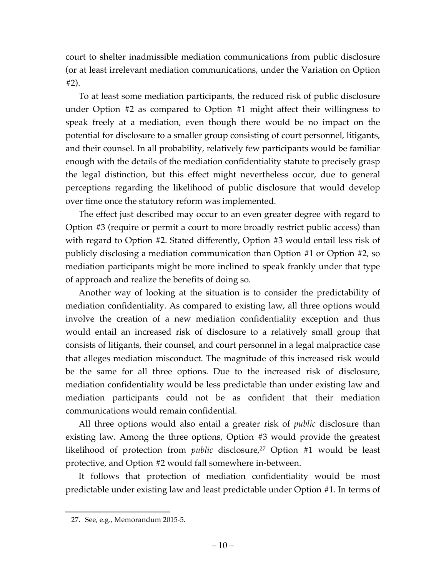court to shelter inadmissible mediation communications from public disclosure (or at least irrelevant mediation communications, under the Variation on Option #2).

To at least some mediation participants, the reduced risk of public disclosure under Option #2 as compared to Option #1 might affect their willingness to speak freely at a mediation, even though there would be no impact on the potential for disclosure to a smaller group consisting of court personnel, litigants, and their counsel. In all probability, relatively few participants would be familiar enough with the details of the mediation confidentiality statute to precisely grasp the legal distinction, but this effect might nevertheless occur, due to general perceptions regarding the likelihood of public disclosure that would develop over time once the statutory reform was implemented.

The effect just described may occur to an even greater degree with regard to Option #3 (require or permit a court to more broadly restrict public access) than with regard to Option #2. Stated differently, Option #3 would entail less risk of publicly disclosing a mediation communication than Option #1 or Option #2, so mediation participants might be more inclined to speak frankly under that type of approach and realize the benefits of doing so.

Another way of looking at the situation is to consider the predictability of mediation confidentiality. As compared to existing law, all three options would involve the creation of a new mediation confidentiality exception and thus would entail an increased risk of disclosure to a relatively small group that consists of litigants, their counsel, and court personnel in a legal malpractice case that alleges mediation misconduct. The magnitude of this increased risk would be the same for all three options. Due to the increased risk of disclosure, mediation confidentiality would be less predictable than under existing law and mediation participants could not be as confident that their mediation communications would remain confidential.

All three options would also entail a greater risk of *public* disclosure than existing law. Among the three options, Option #3 would provide the greatest likelihood of protection from *public* disclosure, <sup>27</sup> Option #1 would be least protective, and Option #2 would fall somewhere in-between.

It follows that protection of mediation confidentiality would be most predictable under existing law and least predictable under Option #1. In terms of

 <sup>27.</sup> See, e.g., Memorandum 2015-5.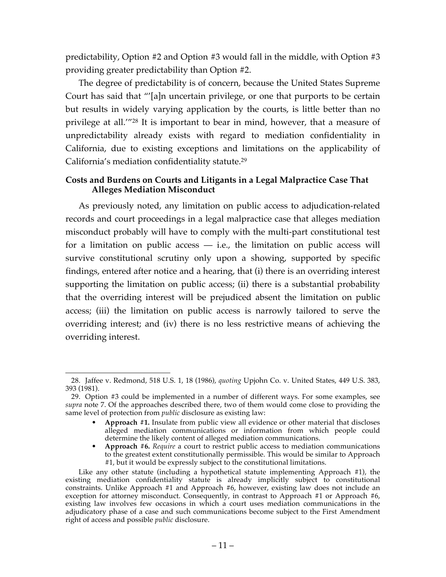predictability, Option #2 and Option #3 would fall in the middle, with Option #3 providing greater predictability than Option #2.

The degree of predictability is of concern, because the United States Supreme Court has said that "'[a]n uncertain privilege, or one that purports to be certain but results in widely varying application by the courts, is little better than no privilege at all.'"28 It is important to bear in mind, however, that a measure of unpredictability already exists with regard to mediation confidentiality in California, due to existing exceptions and limitations on the applicability of California's mediation confidentiality statute.29

# **Costs and Burdens on Courts and Litigants in a Legal Malpractice Case That Alleges Mediation Misconduct**

As previously noted, any limitation on public access to adjudication-related records and court proceedings in a legal malpractice case that alleges mediation misconduct probably will have to comply with the multi-part constitutional test for a limitation on public access  $-$  i.e., the limitation on public access will survive constitutional scrutiny only upon a showing, supported by specific findings, entered after notice and a hearing, that (i) there is an overriding interest supporting the limitation on public access; (ii) there is a substantial probability that the overriding interest will be prejudiced absent the limitation on public access; (iii) the limitation on public access is narrowly tailored to serve the overriding interest; and (iv) there is no less restrictive means of achieving the overriding interest.

 <sup>28.</sup> Jaffee v. Redmond, 518 U.S. 1, 18 (1986), *quoting* Upjohn Co. v. United States, 449 U.S. 383, 393 (1981).

<sup>29.</sup> Option #3 could be implemented in a number of different ways. For some examples, see *supra* note 7. Of the approaches described there, two of them would come close to providing the same level of protection from *public* disclosure as existing law:

<sup>•</sup> **Approach #1.** Insulate from public view all evidence or other material that discloses alleged mediation communications or information from which people could determine the likely content of alleged mediation communications.

<sup>•</sup> **Approach #6.** *Require* a court to restrict public access to mediation communications to the greatest extent constitutionally permissible. This would be similar to Approach #1, but it would be expressly subject to the constitutional limitations.

Like any other statute (including a hypothetical statute implementing Approach #1), the existing mediation confidentiality statute is already implicitly subject to constitutional constraints. Unlike Approach #1 and Approach #6, however, existing law does not include an exception for attorney misconduct. Consequently, in contrast to Approach #1 or Approach #6, existing law involves few occasions in which a court uses mediation communications in the adjudicatory phase of a case and such communications become subject to the First Amendment right of access and possible *public* disclosure.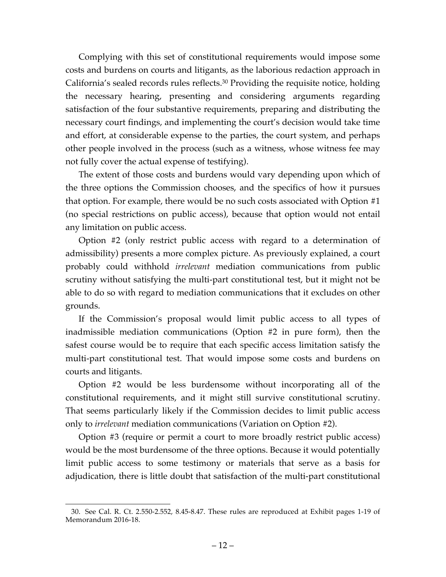Complying with this set of constitutional requirements would impose some costs and burdens on courts and litigants, as the laborious redaction approach in California's sealed records rules reflects.30 Providing the requisite notice, holding the necessary hearing, presenting and considering arguments regarding satisfaction of the four substantive requirements, preparing and distributing the necessary court findings, and implementing the court's decision would take time and effort, at considerable expense to the parties, the court system, and perhaps other people involved in the process (such as a witness, whose witness fee may not fully cover the actual expense of testifying).

The extent of those costs and burdens would vary depending upon which of the three options the Commission chooses, and the specifics of how it pursues that option. For example, there would be no such costs associated with Option #1 (no special restrictions on public access), because that option would not entail any limitation on public access.

Option #2 (only restrict public access with regard to a determination of admissibility) presents a more complex picture. As previously explained, a court probably could withhold *irrelevant* mediation communications from public scrutiny without satisfying the multi-part constitutional test, but it might not be able to do so with regard to mediation communications that it excludes on other grounds.

If the Commission's proposal would limit public access to all types of inadmissible mediation communications (Option #2 in pure form), then the safest course would be to require that each specific access limitation satisfy the multi-part constitutional test. That would impose some costs and burdens on courts and litigants.

Option #2 would be less burdensome without incorporating all of the constitutional requirements, and it might still survive constitutional scrutiny. That seems particularly likely if the Commission decides to limit public access only to *irrelevant* mediation communications (Variation on Option #2).

Option #3 (require or permit a court to more broadly restrict public access) would be the most burdensome of the three options. Because it would potentially limit public access to some testimony or materials that serve as a basis for adjudication, there is little doubt that satisfaction of the multi-part constitutional

 <sup>30.</sup> See Cal. R. Ct. 2.550-2.552, 8.45-8.47. These rules are reproduced at Exhibit pages 1-19 of Memorandum 2016-18.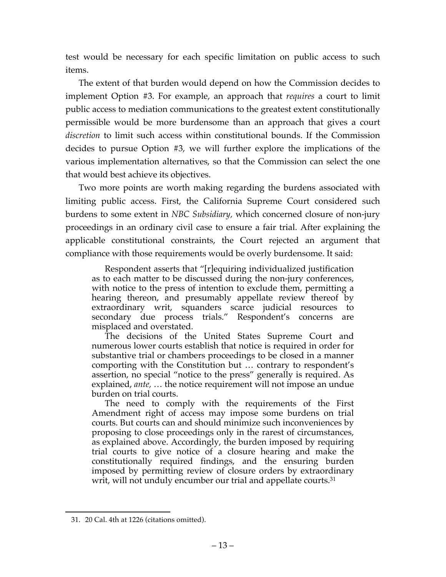test would be necessary for each specific limitation on public access to such items.

The extent of that burden would depend on how the Commission decides to implement Option #3. For example, an approach that *requires* a court to limit public access to mediation communications to the greatest extent constitutionally permissible would be more burdensome than an approach that gives a court *discretion* to limit such access within constitutional bounds. If the Commission decides to pursue Option #3, we will further explore the implications of the various implementation alternatives, so that the Commission can select the one that would best achieve its objectives.

Two more points are worth making regarding the burdens associated with limiting public access. First, the California Supreme Court considered such burdens to some extent in *NBC Subsidiary,* which concerned closure of non-jury proceedings in an ordinary civil case to ensure a fair trial. After explaining the applicable constitutional constraints, the Court rejected an argument that compliance with those requirements would be overly burdensome. It said:

Respondent asserts that "[r]equiring individualized justification as to each matter to be discussed during the non-jury conferences, with notice to the press of intention to exclude them, permitting a hearing thereon, and presumably appellate review thereof by extraordinary writ, squanders scarce judicial resources to secondary due process trials." Respondent's concerns are misplaced and overstated.

The decisions of the United States Supreme Court and numerous lower courts establish that notice is required in order for substantive trial or chambers proceedings to be closed in a manner comporting with the Constitution but … contrary to respondent's assertion, no special "notice to the press" generally is required. As explained, *ante,* … the notice requirement will not impose an undue burden on trial courts.

The need to comply with the requirements of the First Amendment right of access may impose some burdens on trial courts. But courts can and should minimize such inconveniences by proposing to close proceedings only in the rarest of circumstances, as explained above. Accordingly, the burden imposed by requiring trial courts to give notice of a closure hearing and make the constitutionally required findings, and the ensuring burden imposed by permitting review of closure orders by extraordinary writ, will not unduly encumber our trial and appellate courts.<sup>31</sup>

 <sup>31.</sup> 20 Cal. 4th at 1226 (citations omitted).